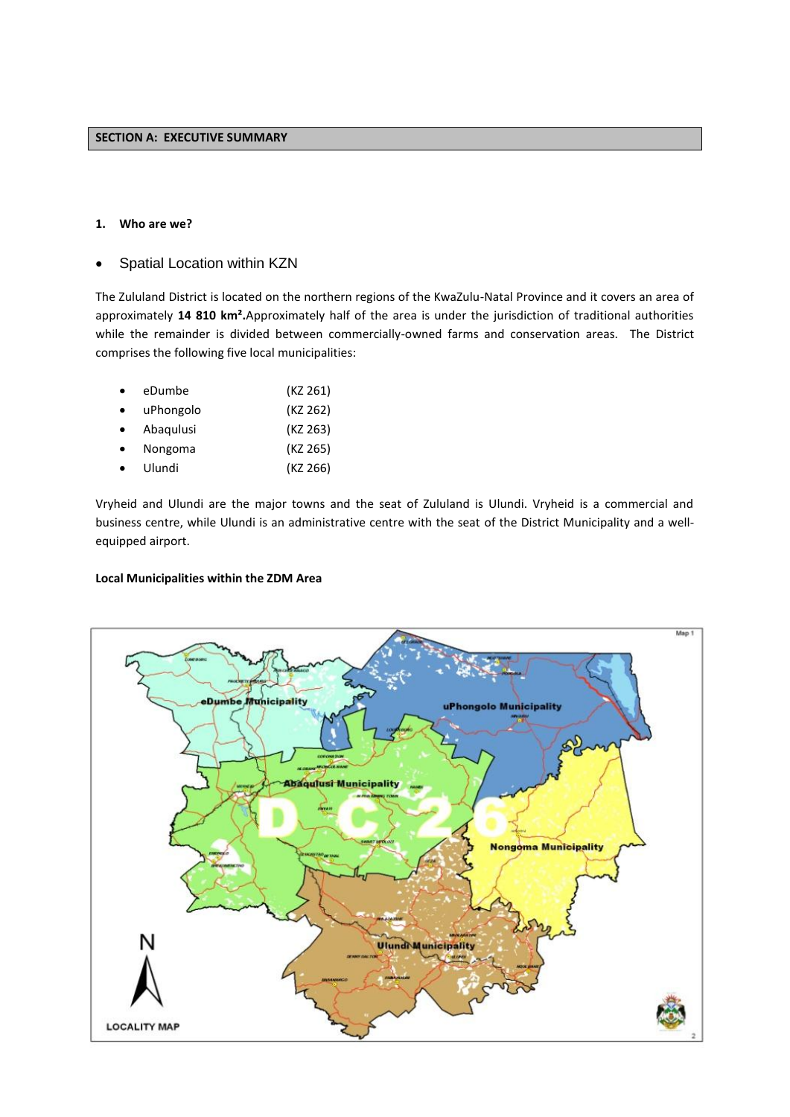## **1. Who are we?**

Spatial Location within KZN

The Zululand District is located on the northern regions of the KwaZulu-Natal Province and it covers an area of approximately **14 810 km².**Approximately half of the area is under the jurisdiction of traditional authorities while the remainder is divided between commercially-owned farms and conservation areas. The District comprises the following five local municipalities:

| $\bullet$ | eDumbe    | (KZ 261) |
|-----------|-----------|----------|
| $\bullet$ | uPhongolo | (KZ 262) |
| $\bullet$ | Abaqulusi | (KZ 263) |
| $\bullet$ | Nongoma   | (KZ 265) |
|           | Ulundi    | (KZ 266) |

Vryheid and Ulundi are the major towns and the seat of Zululand is Ulundi. Vryheid is a commercial and business centre, while Ulundi is an administrative centre with the seat of the District Municipality and a wellequipped airport.

## **Local Municipalities within the ZDM Area**

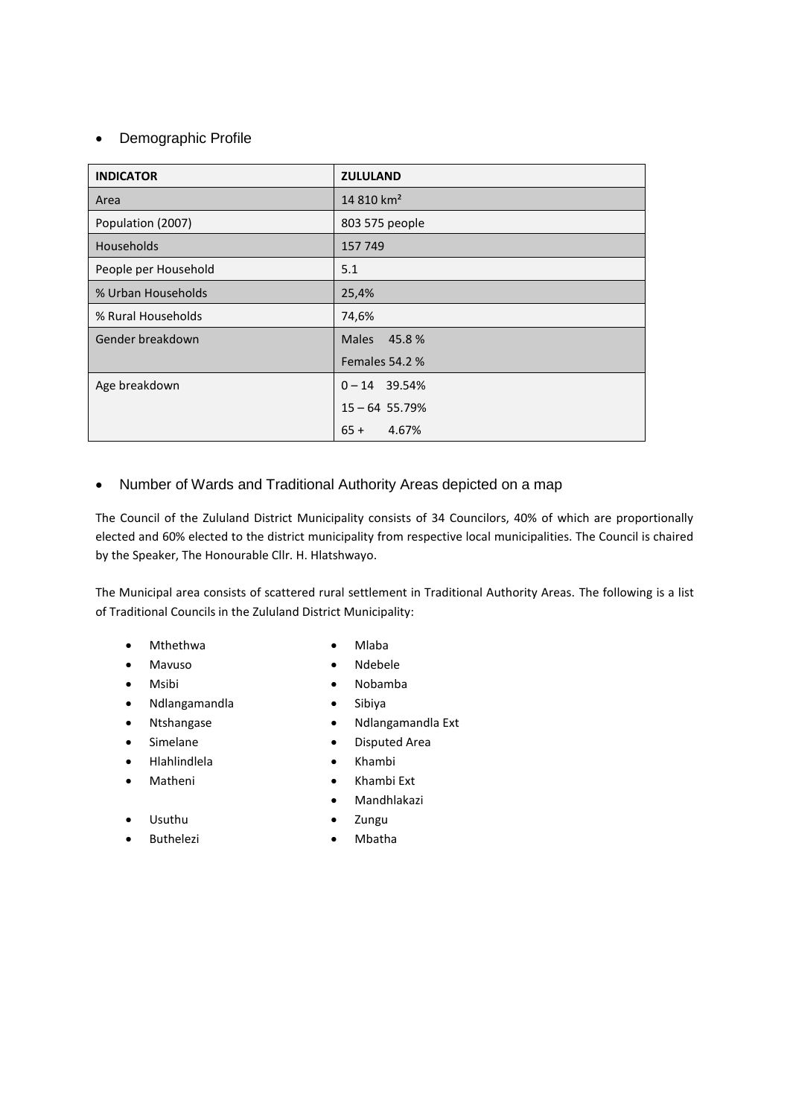# • Demographic Profile

| <b>INDICATOR</b>     | <b>ZULULAND</b>        |
|----------------------|------------------------|
| Area                 | 14 810 km <sup>2</sup> |
| Population (2007)    | 803 575 people         |
| <b>Households</b>    | 157 749                |
| People per Household | 5.1                    |
| % Urban Households   | 25,4%                  |
| % Rural Households   | 74,6%                  |
| Gender breakdown     | 45.8%<br><b>Males</b>  |
|                      | Females 54.2 %         |
| Age breakdown        | $0 - 14$ 39.54%        |
|                      | $15 - 64$ 55.79%       |
|                      | $65 +$<br>4.67%        |

# Number of Wards and Traditional Authority Areas depicted on a map

The Council of the Zululand District Municipality consists of 34 Councilors, 40% of which are proportionally elected and 60% elected to the district municipality from respective local municipalities. The Council is chaired by the Speaker, The Honourable Cllr. H. Hlatshwayo.

The Municipal area consists of scattered rural settlement in Traditional Authority Areas. The following is a list of Traditional Councils in the Zululand District Municipality:

- Mthethwa Miaba
- Mavuso Ndebele
- Msibi Nobamba
- Ndlangamandla Sibiya
- 
- 
- Hlahlindlela Khambi
- 
- 
- 
- 
- Ntshangase **•** Ndlangamandla Ext
- Simelane Disputed Area
	-
- Matheni Khambi Ext
	- Mandhlakazi

- Usuthu
- Buthelezi **. A Mbatha**
- Zungu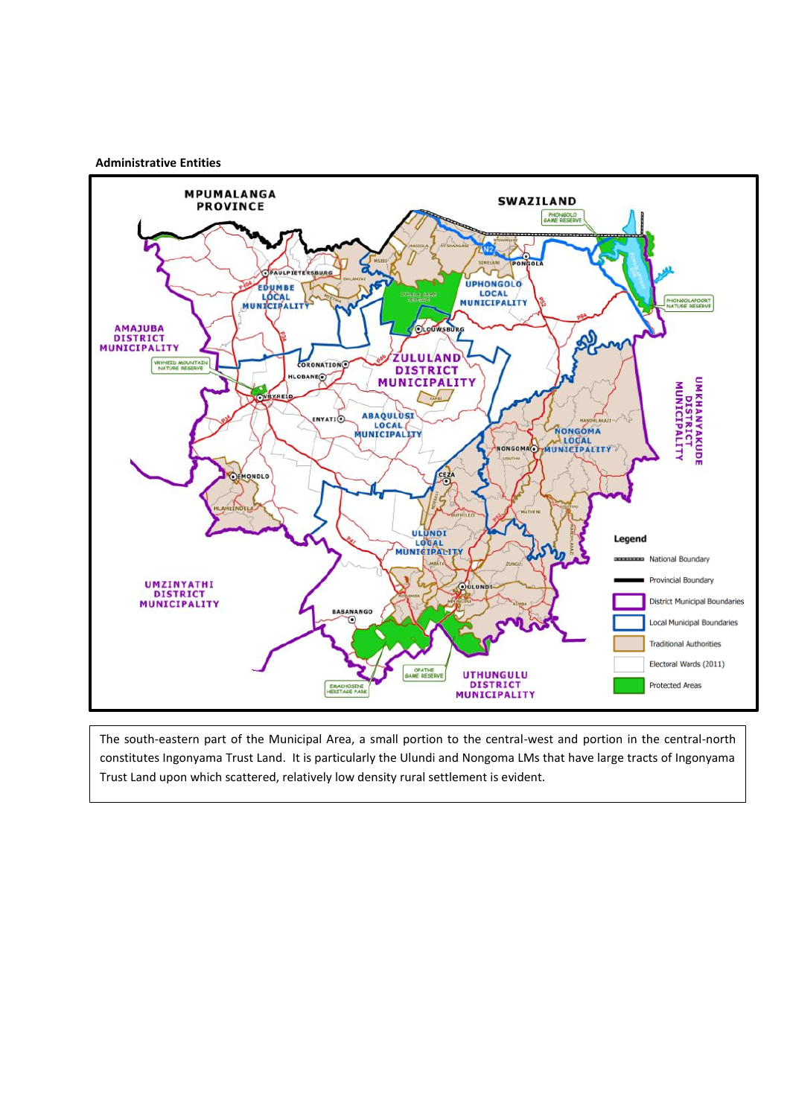## **Administrative Entities**



The south-eastern part of the Municipal Area, a small portion to the central-west and portion in the central-north constitutes Ingonyama Trust Land. It is particularly the Ulundi and Nongoma LMs that have large tracts of Ingonyama Trust Land upon which scattered, relatively low density rural settlement is evident.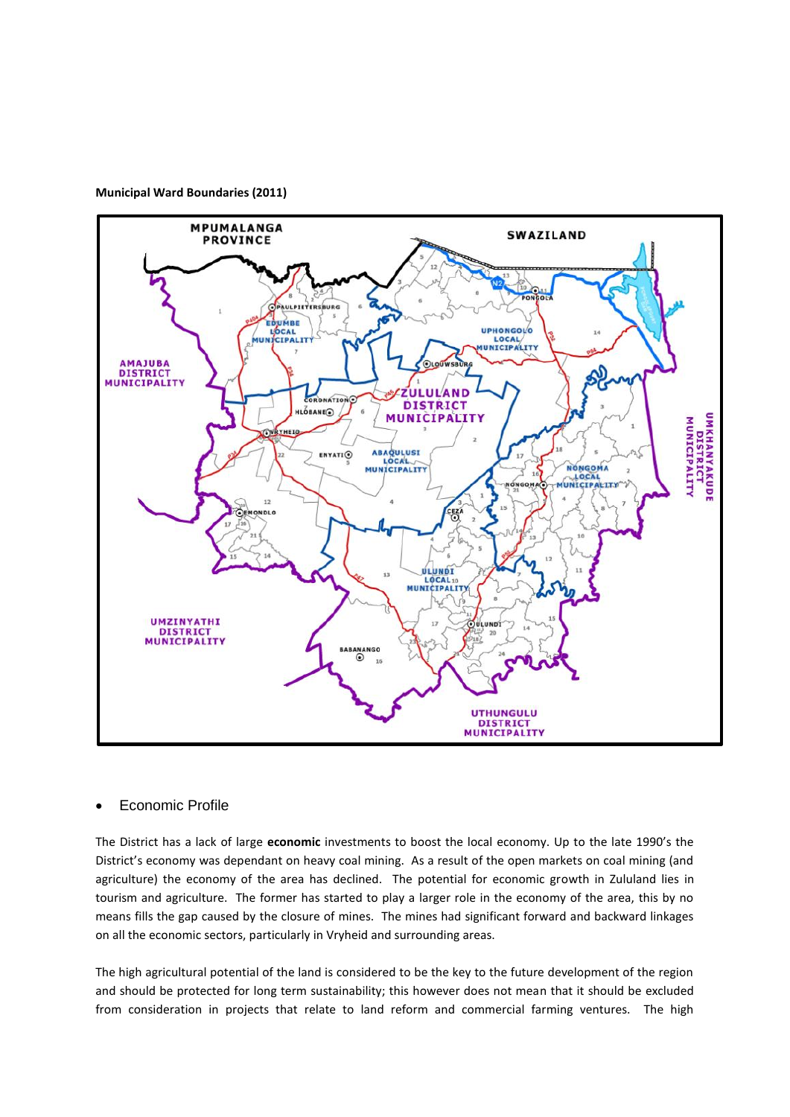



## Economic Profile

The District has a lack of large **economic** investments to boost the local economy. Up to the late 1990's the District's economy was dependant on heavy coal mining. As a result of the open markets on coal mining (and agriculture) the economy of the area has declined. The potential for economic growth in Zululand lies in tourism and agriculture. The former has started to play a larger role in the economy of the area, this by no means fills the gap caused by the closure of mines. The mines had significant forward and backward linkages on all the economic sectors, particularly in Vryheid and surrounding areas.

The high agricultural potential of the land is considered to be the key to the future development of the region and should be protected for long term sustainability; this however does not mean that it should be excluded from consideration in projects that relate to land reform and commercial farming ventures. The high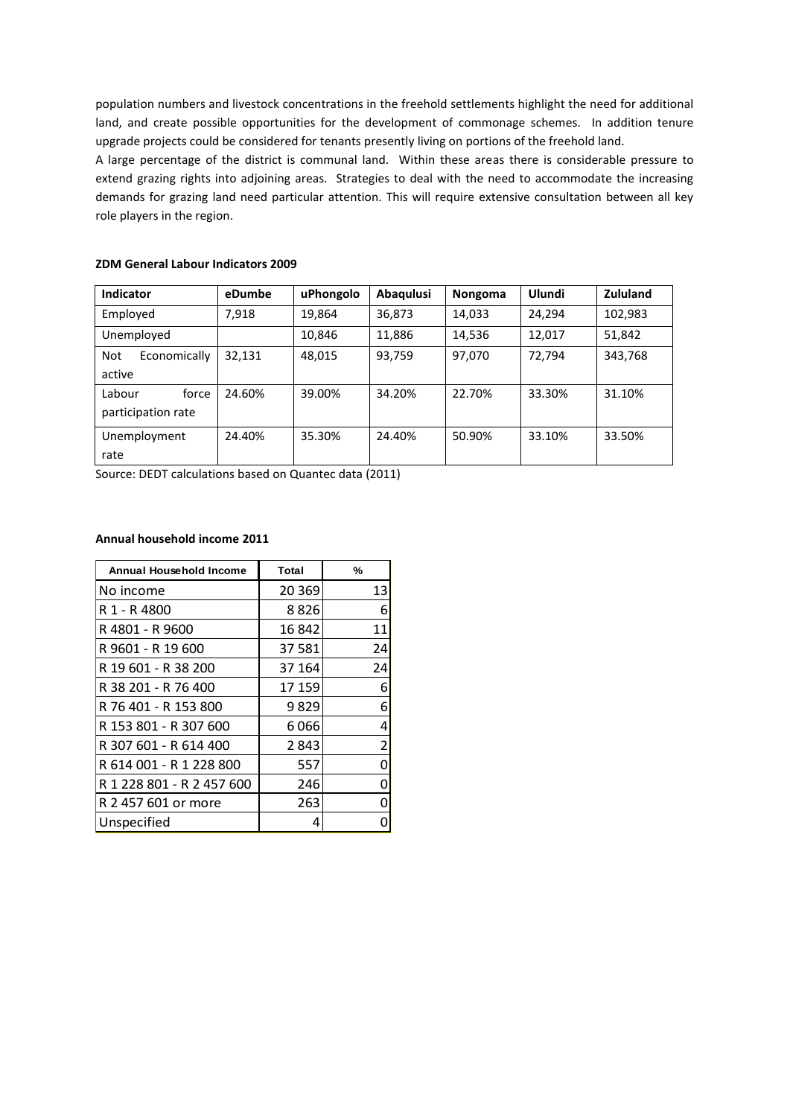population numbers and livestock concentrations in the freehold settlements highlight the need for additional land, and create possible opportunities for the development of commonage schemes. In addition tenure upgrade projects could be considered for tenants presently living on portions of the freehold land.

A large percentage of the district is communal land. Within these areas there is considerable pressure to extend grazing rights into adjoining areas. Strategies to deal with the need to accommodate the increasing demands for grazing land need particular attention. This will require extensive consultation between all key role players in the region.

| <b>Indicator</b>           | eDumbe | uPhongolo | Abaqulusi | Nongoma | Ulundi | <b>Zululand</b> |
|----------------------------|--------|-----------|-----------|---------|--------|-----------------|
| Employed                   | 7.918  | 19,864    | 36,873    | 14,033  | 24,294 | 102,983         |
| Unemployed                 |        | 10,846    | 11,886    | 14,536  | 12,017 | 51,842          |
| <b>Not</b><br>Economically | 32,131 | 48,015    | 93,759    | 97,070  | 72,794 | 343,768         |
| active                     |        |           |           |         |        |                 |
| Labour<br>force            | 24.60% | 39.00%    | 34.20%    | 22.70%  | 33.30% | 31.10%          |
| participation rate         |        |           |           |         |        |                 |
| Unemployment               | 24.40% | 35.30%    | 24.40%    | 50.90%  | 33.10% | 33.50%          |
| rate                       |        |           |           |         |        |                 |

## **ZDM General Labour Indicators 2009**

Source: DEDT calculations based on Quantec data (2011)

#### **Annual household income 2011**

| <b>Annual Household Income</b> | Total   | %              |
|--------------------------------|---------|----------------|
| No income                      | 20 3 69 | 13             |
| R 1 - R 4800                   | 8826    | 6              |
| R 4801 - R 9600                | 16842   | 11             |
| R 9601 - R 19 600              | 37 581  | 24             |
| R 19 601 - R 38 200            | 37 164  | 24             |
| R 38 201 - R 76 400            | 17 159  | 6              |
| R 76 401 - R 153 800           | 9829    | 6              |
| R 153 801 - R 307 600          | 6066    | 4              |
| R 307 601 - R 614 400          | 2843    | $\overline{2}$ |
| R 614 001 - R 1 228 800        | 557     | ი              |
| R 1 228 801 - R 2 457 600      | 246     | n              |
| R 2 457 601 or more            | 263     |                |
| Unspecified                    | 4       |                |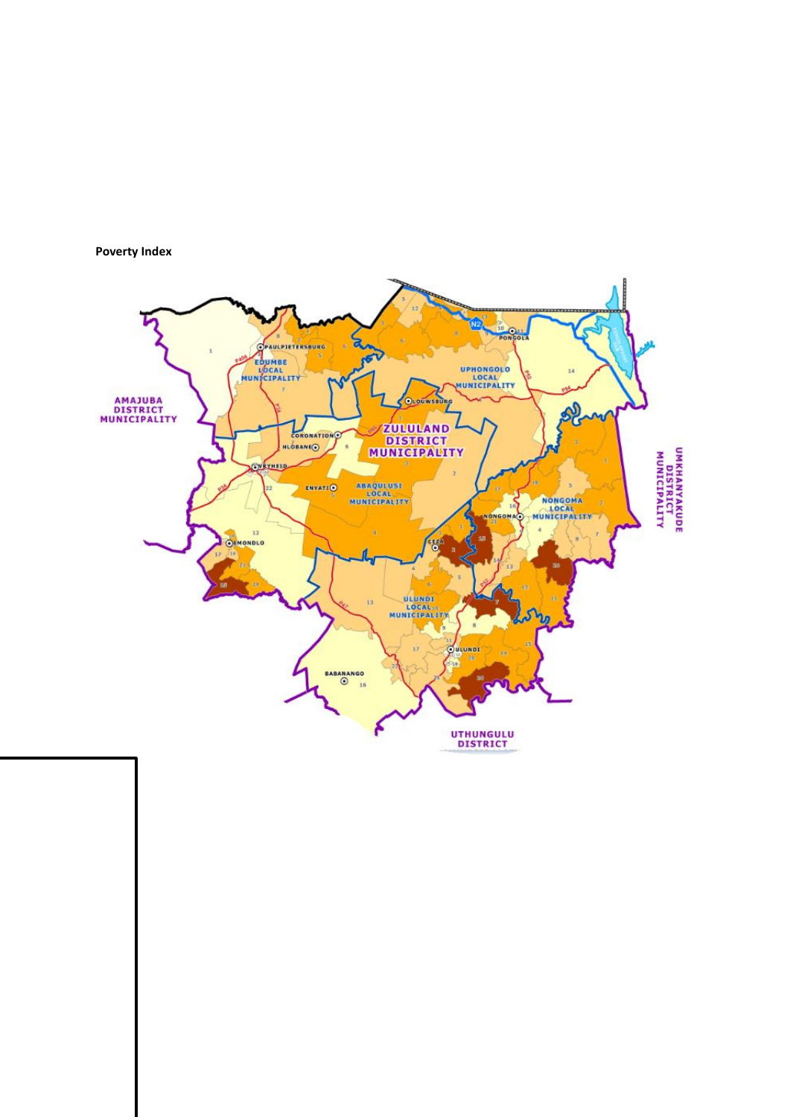

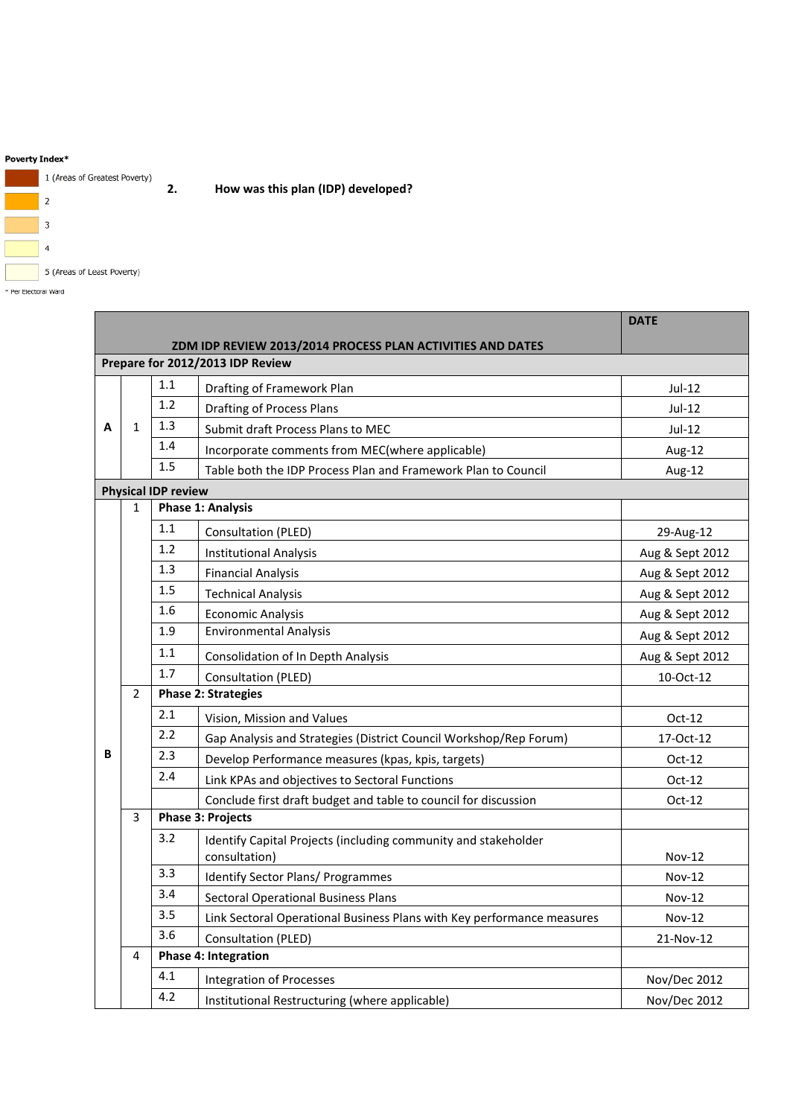#### Poverty Index\*



\* Per Electoral Ward

|   |                |                            |                                                                                      | <b>DATE</b>     |  |  |  |  |  |  |  |
|---|----------------|----------------------------|--------------------------------------------------------------------------------------|-----------------|--|--|--|--|--|--|--|
|   |                |                            | ZDM IDP REVIEW 2013/2014 PROCESS PLAN ACTIVITIES AND DATES                           |                 |  |  |  |  |  |  |  |
|   |                |                            | Prepare for 2012/2013 IDP Review                                                     |                 |  |  |  |  |  |  |  |
|   |                | 1.1                        | Jul-12                                                                               |                 |  |  |  |  |  |  |  |
|   |                | 1.2                        | <b>Drafting of Process Plans</b>                                                     | $Jul-12$        |  |  |  |  |  |  |  |
| A | $\mathbf{1}$   | 1.3                        | Submit draft Process Plans to MEC<br>Incorporate comments from MEC(where applicable) |                 |  |  |  |  |  |  |  |
|   |                | 1.4                        | Aug-12                                                                               |                 |  |  |  |  |  |  |  |
|   |                | 1.5                        | Table both the IDP Process Plan and Framework Plan to Council                        | Aug-12          |  |  |  |  |  |  |  |
|   |                | <b>Physical IDP review</b> |                                                                                      |                 |  |  |  |  |  |  |  |
|   | $\mathbf{1}$   |                            | <b>Phase 1: Analysis</b>                                                             |                 |  |  |  |  |  |  |  |
|   |                | 1.1                        | Consultation (PLED)                                                                  | 29-Aug-12       |  |  |  |  |  |  |  |
|   |                | 1.2                        | <b>Institutional Analysis</b>                                                        | Aug & Sept 2012 |  |  |  |  |  |  |  |
|   |                | 1.3                        | <b>Financial Analysis</b>                                                            | Aug & Sept 2012 |  |  |  |  |  |  |  |
|   |                | 1.5                        | <b>Technical Analysis</b>                                                            | Aug & Sept 2012 |  |  |  |  |  |  |  |
|   |                | 1.6                        | <b>Economic Analysis</b>                                                             | Aug & Sept 2012 |  |  |  |  |  |  |  |
|   |                | 1.9                        | Aug & Sept 2012                                                                      |                 |  |  |  |  |  |  |  |
|   |                | 1.1                        | Aug & Sept 2012                                                                      |                 |  |  |  |  |  |  |  |
|   |                | 1.7                        | Consultation (PLED)                                                                  | 10-Oct-12       |  |  |  |  |  |  |  |
|   | $\overline{2}$ |                            | <b>Phase 2: Strategies</b>                                                           |                 |  |  |  |  |  |  |  |
|   |                | 2.1                        | Vision, Mission and Values                                                           | $Oct-12$        |  |  |  |  |  |  |  |
|   |                | 2.2                        | Gap Analysis and Strategies (District Council Workshop/Rep Forum)                    | 17-Oct-12       |  |  |  |  |  |  |  |
| B |                | 2.3                        | $Oct-12$                                                                             |                 |  |  |  |  |  |  |  |
|   |                | 2.4                        | Link KPAs and objectives to Sectoral Functions                                       | $Oct-12$        |  |  |  |  |  |  |  |
|   |                |                            | Conclude first draft budget and table to council for discussion                      | $Oct-12$        |  |  |  |  |  |  |  |
|   | 3              |                            | <b>Phase 3: Projects</b>                                                             |                 |  |  |  |  |  |  |  |
|   |                | 3.2                        | Identify Capital Projects (including community and stakeholder                       |                 |  |  |  |  |  |  |  |
|   |                |                            | consultation)                                                                        | Nov-12          |  |  |  |  |  |  |  |
|   |                | 3.3                        | <b>Identify Sector Plans/ Programmes</b>                                             | <b>Nov-12</b>   |  |  |  |  |  |  |  |
|   |                | 3.4                        | <b>Sectoral Operational Business Plans</b>                                           | <b>Nov-12</b>   |  |  |  |  |  |  |  |
|   |                | 3.5                        | Link Sectoral Operational Business Plans with Key performance measures               | <b>Nov-12</b>   |  |  |  |  |  |  |  |
|   |                | 3.6                        | Consultation (PLED)                                                                  | 21-Nov-12       |  |  |  |  |  |  |  |
|   | 4              |                            | <b>Phase 4: Integration</b>                                                          |                 |  |  |  |  |  |  |  |
|   |                | 4.1                        | <b>Integration of Processes</b>                                                      | Nov/Dec 2012    |  |  |  |  |  |  |  |
|   |                | 4.2                        | Institutional Restructuring (where applicable)                                       | Nov/Dec 2012    |  |  |  |  |  |  |  |

**2. How was this plan (IDP) developed?**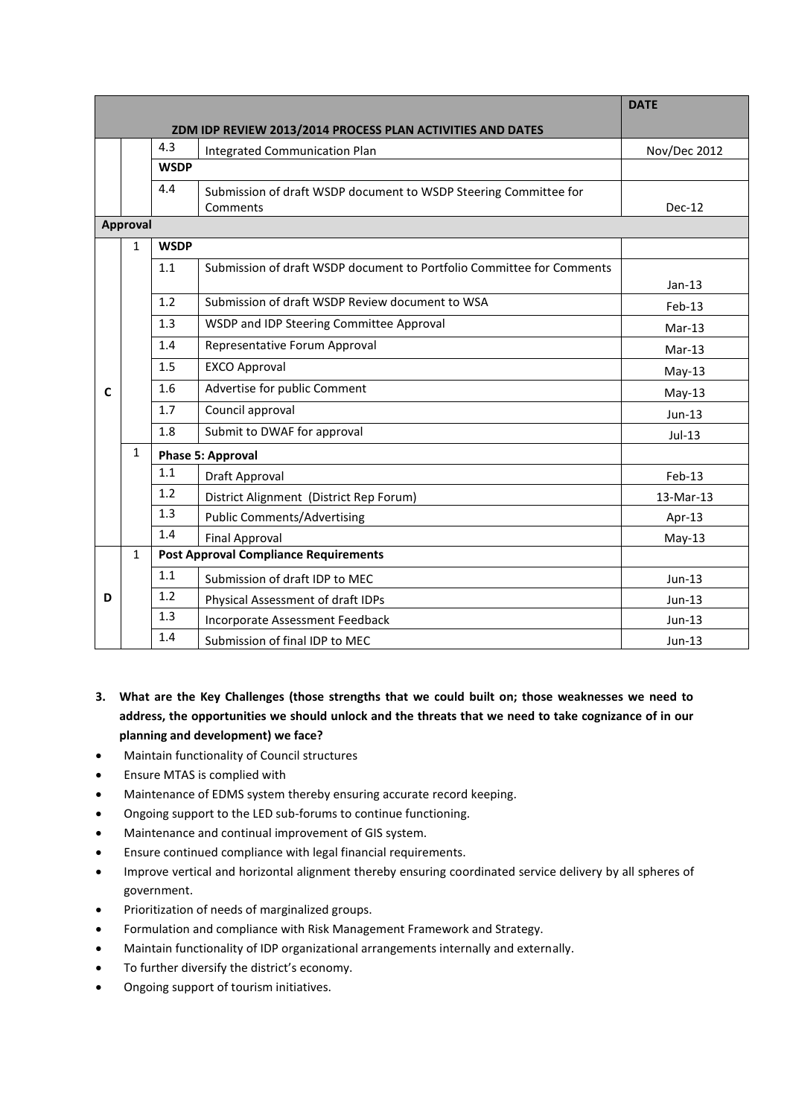|   |              |             |                                                                              | <b>DATE</b>  |
|---|--------------|-------------|------------------------------------------------------------------------------|--------------|
|   |              |             | ZDM IDP REVIEW 2013/2014 PROCESS PLAN ACTIVITIES AND DATES                   |              |
|   |              | 4.3         | <b>Integrated Communication Plan</b>                                         | Nov/Dec 2012 |
|   |              | <b>WSDP</b> |                                                                              |              |
|   |              | 4.4         | Submission of draft WSDP document to WSDP Steering Committee for<br>Comments | $Dec-12$     |
|   | Approval     |             |                                                                              |              |
|   | $\mathbf{1}$ | <b>WSDP</b> |                                                                              |              |
|   |              | 1.1         | Submission of draft WSDP document to Portfolio Committee for Comments        | $Jan-13$     |
|   |              | 1.2         | Submission of draft WSDP Review document to WSA                              | $Feb-13$     |
|   |              | 1.3         | WSDP and IDP Steering Committee Approval                                     | $Mar-13$     |
|   |              | 1.4         | Representative Forum Approval                                                | $Mar-13$     |
|   |              | 1.5         | <b>EXCO Approval</b>                                                         | $May-13$     |
| C |              | 1.6         | Advertise for public Comment                                                 | $May-13$     |
|   |              | 1.7         | Council approval                                                             | $Jun-13$     |
|   |              | 1.8         | Submit to DWAF for approval                                                  | $Jul-13$     |
|   | $\mathbf{1}$ |             | <b>Phase 5: Approval</b>                                                     |              |
|   |              | 1.1         | Draft Approval                                                               | Feb-13       |
|   |              | 1.2         | District Alignment (District Rep Forum)                                      | 13-Mar-13    |
|   |              | 1.3         | <b>Public Comments/Advertising</b>                                           | Apr-13       |
|   |              | 1.4         | <b>Final Approval</b>                                                        | $May-13$     |
|   | $\mathbf{1}$ |             | <b>Post Approval Compliance Requirements</b>                                 |              |
|   |              | 1.1         | Submission of draft IDP to MEC                                               | $Jun-13$     |
| D |              | 1.2         | Physical Assessment of draft IDPs                                            | Jun-13       |
|   |              | 1.3         | Incorporate Assessment Feedback                                              | $Jun-13$     |
|   |              | 1.4         | Submission of final IDP to MEC                                               | $Jun-13$     |

- **3. What are the Key Challenges (those strengths that we could built on; those weaknesses we need to address, the opportunities we should unlock and the threats that we need to take cognizance of in our planning and development) we face?**
- Maintain functionality of Council structures
- Ensure MTAS is complied with
- Maintenance of EDMS system thereby ensuring accurate record keeping.
- Ongoing support to the LED sub-forums to continue functioning.
- Maintenance and continual improvement of GIS system.
- Ensure continued compliance with legal financial requirements.
- Improve vertical and horizontal alignment thereby ensuring coordinated service delivery by all spheres of government.
- Prioritization of needs of marginalized groups.
- Formulation and compliance with Risk Management Framework and Strategy.
- Maintain functionality of IDP organizational arrangements internally and externally.
- To further diversify the district's economy.
- Ongoing support of tourism initiatives.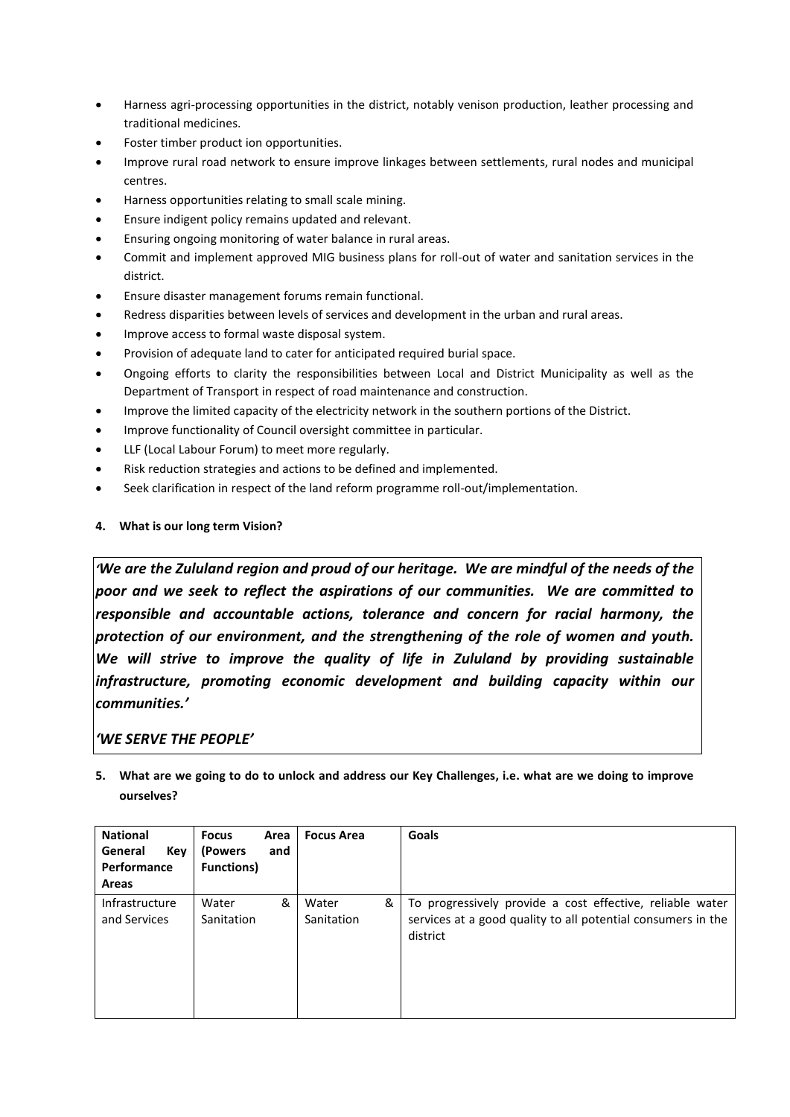- Harness agri-processing opportunities in the district, notably venison production, leather processing and traditional medicines.
- Foster timber product ion opportunities.
- Improve rural road network to ensure improve linkages between settlements, rural nodes and municipal centres.
- Harness opportunities relating to small scale mining.
- Ensure indigent policy remains updated and relevant.
- Ensuring ongoing monitoring of water balance in rural areas.
- Commit and implement approved MIG business plans for roll-out of water and sanitation services in the district.
- Ensure disaster management forums remain functional.
- Redress disparities between levels of services and development in the urban and rural areas.
- Improve access to formal waste disposal system.
- Provision of adequate land to cater for anticipated required burial space.
- Ongoing efforts to clarity the responsibilities between Local and District Municipality as well as the Department of Transport in respect of road maintenance and construction.
- Improve the limited capacity of the electricity network in the southern portions of the District.
- Improve functionality of Council oversight committee in particular.
- LLF (Local Labour Forum) to meet more regularly.
- Risk reduction strategies and actions to be defined and implemented.
- Seek clarification in respect of the land reform programme roll-out/implementation.
- **4. What is our long term Vision?**

*'We are the Zululand region and proud of our heritage. We are mindful of the needs of the poor and we seek to reflect the aspirations of our communities. We are committed to responsible and accountable actions, tolerance and concern for racial harmony, the protection of our environment, and the strengthening of the role of women and youth. We will strive to improve the quality of life in Zululand by providing sustainable infrastructure, promoting economic development and building capacity within our communities.'*

## *'WE SERVE THE PEOPLE'*

**5. What are we going to do to unlock and address our Key Challenges, i.e. what are we doing to improve ourselves?**

| <b>National</b><br>General<br>Key<br>Performance<br><b>Areas</b> | <b>Focus</b><br>Area<br>(Powers)<br>and<br><b>Functions</b> ) | <b>Focus Area</b>        | Goals                                                                                                                                 |
|------------------------------------------------------------------|---------------------------------------------------------------|--------------------------|---------------------------------------------------------------------------------------------------------------------------------------|
| Infrastructure<br>and Services                                   | &<br>Water<br>Sanitation                                      | &<br>Water<br>Sanitation | To progressively provide a cost effective, reliable water<br>services at a good quality to all potential consumers in the<br>district |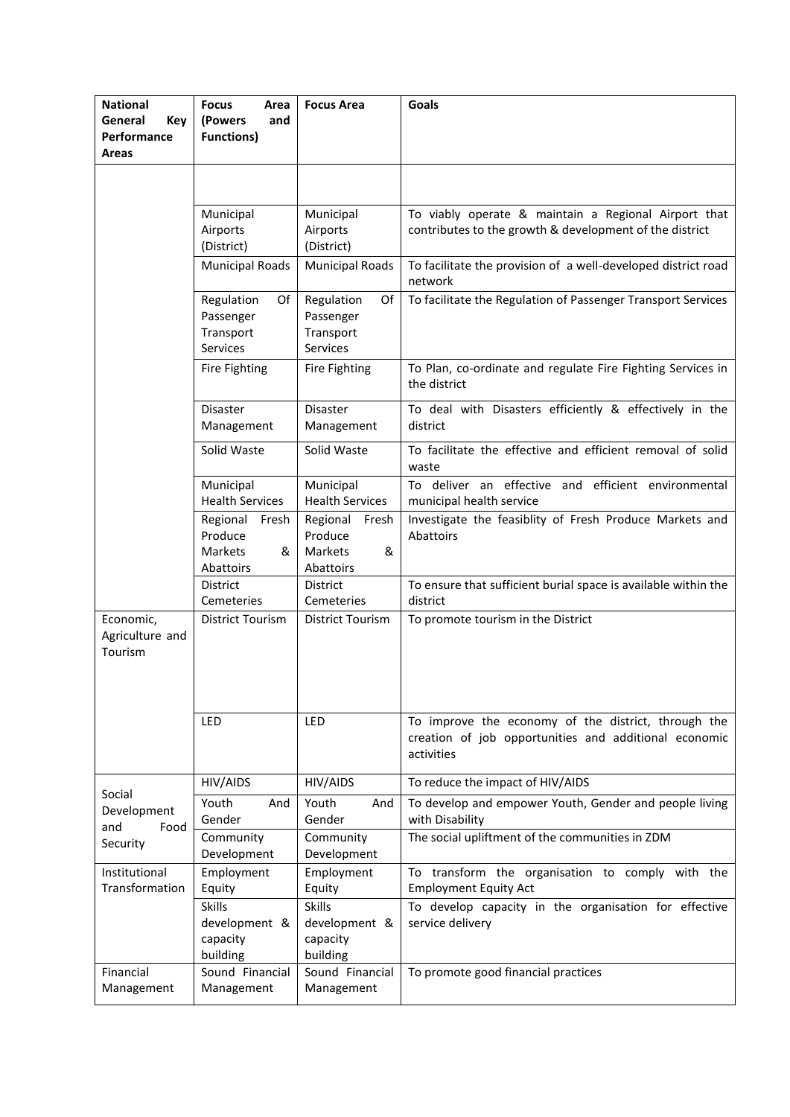| <b>National</b><br>General<br>Key<br>Performance<br>Areas | <b>Focus</b><br>Area<br>(Powers<br>and<br><b>Functions)</b>   | <b>Focus Area</b>                                      | Goals                                                                                                                      |
|-----------------------------------------------------------|---------------------------------------------------------------|--------------------------------------------------------|----------------------------------------------------------------------------------------------------------------------------|
|                                                           |                                                               |                                                        |                                                                                                                            |
|                                                           | Municipal<br>Airports<br>(District)                           | Municipal<br>Airports<br>(District)                    | To viably operate & maintain a Regional Airport that<br>contributes to the growth & development of the district            |
|                                                           | <b>Municipal Roads</b>                                        | <b>Municipal Roads</b>                                 | To facilitate the provision of a well-developed district road<br>network                                                   |
|                                                           | Regulation<br>Of<br>Passenger<br>Transport<br>Services        | Regulation<br>Of<br>Passenger<br>Transport<br>Services | To facilitate the Regulation of Passenger Transport Services                                                               |
|                                                           | Fire Fighting                                                 | Fire Fighting                                          | To Plan, co-ordinate and regulate Fire Fighting Services in<br>the district                                                |
|                                                           | Disaster<br>Management                                        | Disaster<br>Management                                 | To deal with Disasters efficiently & effectively in the<br>district                                                        |
|                                                           | Solid Waste                                                   | Solid Waste                                            | To facilitate the effective and efficient removal of solid<br>waste                                                        |
|                                                           | Municipal<br><b>Health Services</b>                           | Municipal<br><b>Health Services</b>                    | To deliver an effective and efficient environmental<br>municipal health service                                            |
|                                                           | Regional Fresh<br>Produce<br><b>Markets</b><br>&<br>Abattoirs | Regional Fresh<br>Produce<br>Markets<br>&<br>Abattoirs | Investigate the feasiblity of Fresh Produce Markets and<br>Abattoirs                                                       |
|                                                           | District<br>Cemeteries                                        | District<br>Cemeteries                                 | To ensure that sufficient burial space is available within the<br>district                                                 |
| Economic,<br>Agriculture and<br>Tourism                   | <b>District Tourism</b>                                       | <b>District Tourism</b>                                | To promote tourism in the District                                                                                         |
|                                                           | LED                                                           | LED                                                    | To improve the economy of the district, through the<br>creation of job opportunities and additional economic<br>activities |
| Social                                                    | HIV/AIDS                                                      | HIV/AIDS                                               | To reduce the impact of HIV/AIDS                                                                                           |
| Development<br>and<br>Food                                | Youth<br>And<br>Gender                                        | Youth<br>And<br>Gender                                 | To develop and empower Youth, Gender and people living<br>with Disability                                                  |
| Security                                                  | Community<br>Development                                      | Community<br>Development                               | The social upliftment of the communities in ZDM                                                                            |
| Institutional<br>Transformation                           | Employment<br>Equity                                          | Employment<br>Equity                                   | To transform the organisation to comply with the<br><b>Employment Equity Act</b>                                           |
|                                                           | <b>Skills</b><br>development &<br>capacity<br>building        | <b>Skills</b><br>development &<br>capacity<br>building | To develop capacity in the organisation for effective<br>service delivery                                                  |
| Financial<br>Management                                   | Sound Financial<br>Management                                 | Sound Financial<br>Management                          | To promote good financial practices                                                                                        |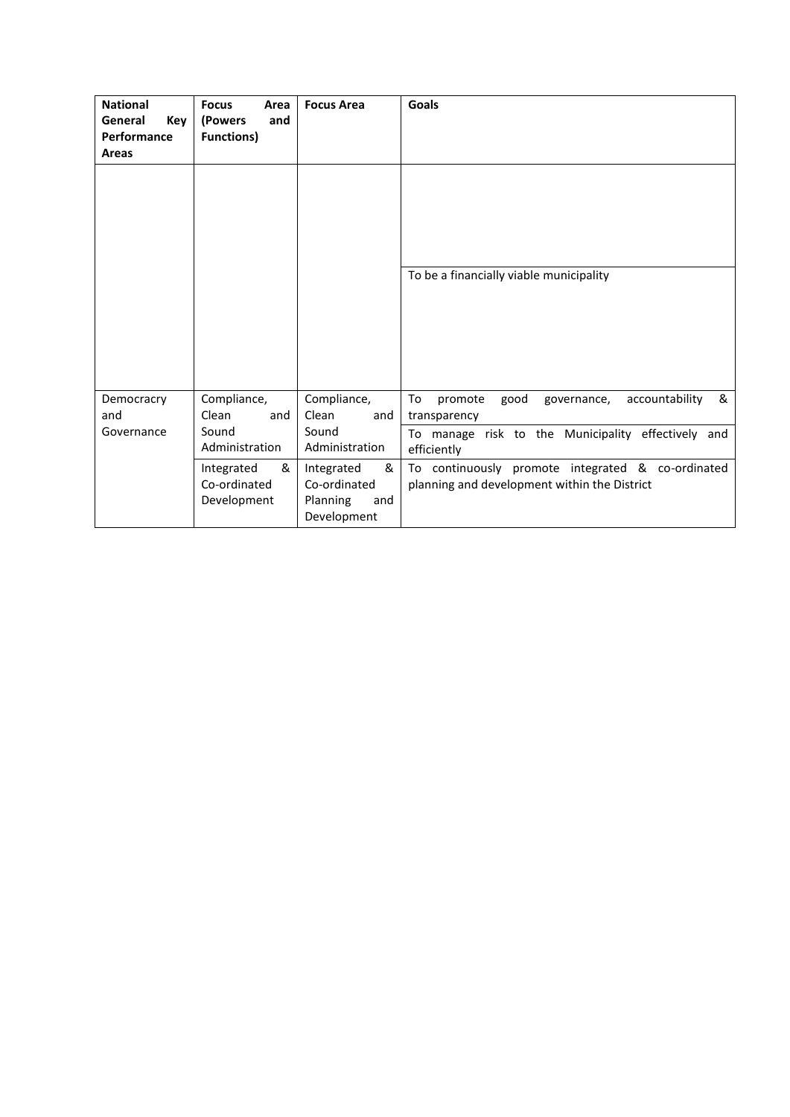| <b>National</b><br>General<br>Key<br>Performance<br><b>Areas</b> | <b>Focus</b><br>Area<br>(Powers<br>and<br><b>Functions)</b> | <b>Focus Area</b>                                                 | <b>Goals</b>                                                                                      |
|------------------------------------------------------------------|-------------------------------------------------------------|-------------------------------------------------------------------|---------------------------------------------------------------------------------------------------|
|                                                                  |                                                             |                                                                   |                                                                                                   |
|                                                                  |                                                             |                                                                   | To be a financially viable municipality                                                           |
| Democracry<br>and                                                | Compliance,<br>Clean<br>and                                 | Compliance,<br>Clean<br>and                                       | To<br>&<br>accountability<br>promote<br>good<br>governance,<br>transparency                       |
| Governance                                                       | Sound<br>Administration                                     | Sound<br>Administration                                           | To manage risk to the Municipality effectively and<br>efficiently                                 |
|                                                                  | Integrated<br>&<br>Co-ordinated<br>Development              | &<br>Integrated<br>Co-ordinated<br>Planning<br>and<br>Development | To continuously promote integrated & co-ordinated<br>planning and development within the District |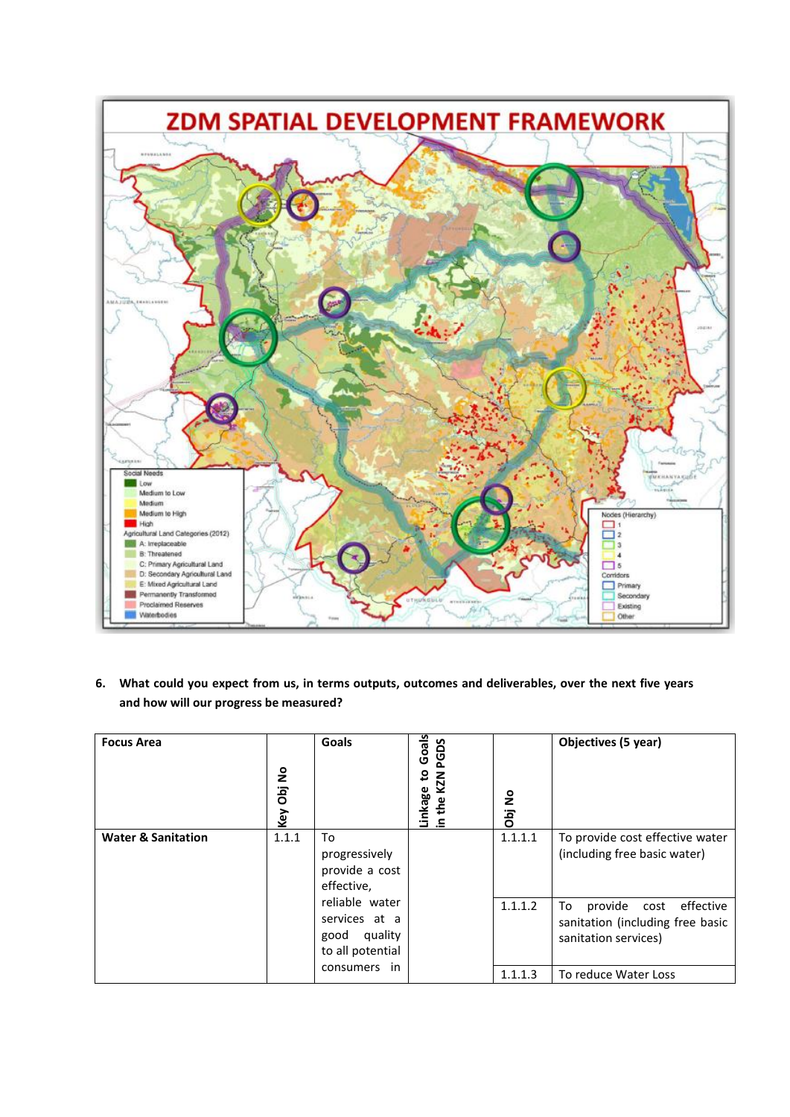

**6. What could you expect from us, in terms outputs, outcomes and deliverables, over the next five years and how will our progress be measured?**

| <b>Focus Area</b>             | Key Obj No                        | Goals                                                          | Goals<br>PGDS<br>ន<br>KZN<br>Linkage<br>in the K <sup>-</sup> | Obj No  | Objectives (5 year)                                                                            |
|-------------------------------|-----------------------------------|----------------------------------------------------------------|---------------------------------------------------------------|---------|------------------------------------------------------------------------------------------------|
| <b>Water &amp; Sanitation</b> | 1.1.1<br>To<br>effective,<br>good | progressively<br>provide a cost                                |                                                               | 1.1.1.1 | To provide cost effective water<br>(including free basic water)                                |
|                               |                                   | reliable water<br>services at a<br>quality<br>to all potential |                                                               | 1.1.1.2 | provide<br>To<br>effective<br>cost<br>sanitation (including free basic<br>sanitation services) |
| consumers<br>in               |                                   | 1.1.1.3                                                        | To reduce Water Loss                                          |         |                                                                                                |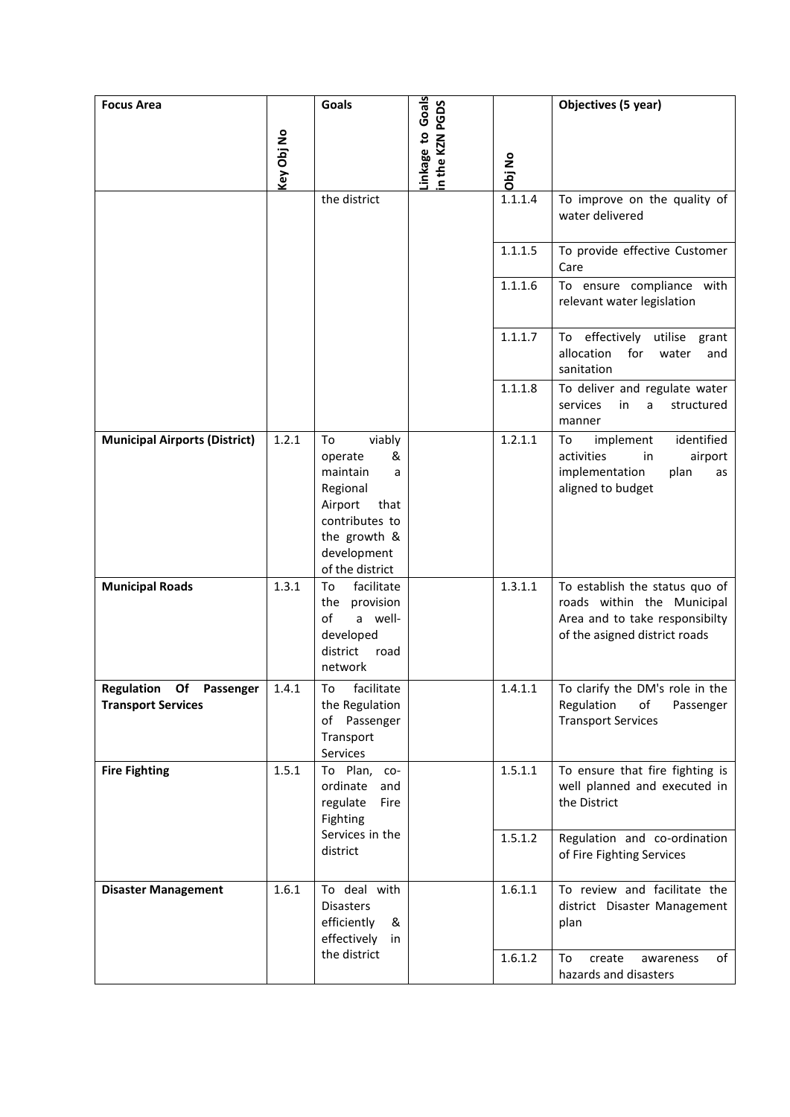| <b>Focus Area</b>                                    |            | Goals                                                                                                                                            |                                    |         | Objectives (5 year)                                                                                                             |
|------------------------------------------------------|------------|--------------------------------------------------------------------------------------------------------------------------------------------------|------------------------------------|---------|---------------------------------------------------------------------------------------------------------------------------------|
|                                                      | Key Obj No |                                                                                                                                                  | Linkage to Goals<br>n the KZN PGDS | Obj No  |                                                                                                                                 |
|                                                      |            | the district                                                                                                                                     |                                    | 1.1.1.4 | To improve on the quality of<br>water delivered                                                                                 |
|                                                      |            |                                                                                                                                                  |                                    | 1.1.1.5 | To provide effective Customer<br>Care                                                                                           |
|                                                      |            |                                                                                                                                                  |                                    | 1.1.1.6 | To ensure compliance with<br>relevant water legislation                                                                         |
|                                                      |            |                                                                                                                                                  |                                    | 1.1.1.7 | effectively<br>utilise grant<br>To<br>allocation<br>for<br>water<br>and<br>sanitation                                           |
|                                                      |            |                                                                                                                                                  |                                    | 1.1.1.8 | To deliver and regulate water<br>services<br>in<br>a<br>structured<br>manner                                                    |
| <b>Municipal Airports (District)</b>                 | 1.2.1      | viably<br>To<br>&<br>operate<br>maintain<br>a<br>Regional<br>Airport<br>that<br>contributes to<br>the growth &<br>development<br>of the district |                                    | 1.2.1.1 | identified<br>implement<br>To<br>activities<br>in<br>airport<br>implementation<br>plan<br>as<br>aligned to budget               |
| <b>Municipal Roads</b>                               | 1.3.1      | To<br>facilitate<br>the provision<br>a well-<br>of<br>developed<br>district<br>road<br>network                                                   |                                    | 1.3.1.1 | To establish the status quo of<br>roads within the Municipal<br>Area and to take responsibilty<br>of the asigned district roads |
| Regulation Of Passenger<br><b>Transport Services</b> | 1.4.1      | To facilitate<br>the Regulation<br>of Passenger<br>Transport<br>Services                                                                         |                                    | 1.4.1.1 | To clarify the DM's role in the<br>Regulation<br>of<br>Passenger<br><b>Transport Services</b>                                   |
| <b>Fire Fighting</b>                                 | 1.5.1      | To Plan, co-<br>ordinate<br>and<br>regulate<br>Fire<br>Fighting                                                                                  |                                    | 1.5.1.1 | To ensure that fire fighting is<br>well planned and executed in<br>the District                                                 |
|                                                      |            | Services in the<br>district                                                                                                                      |                                    | 1.5.1.2 | Regulation and co-ordination<br>of Fire Fighting Services                                                                       |
| <b>Disaster Management</b>                           | 1.6.1      | To deal with<br><b>Disasters</b><br>efficiently<br>&<br>effectively<br>in                                                                        |                                    | 1.6.1.1 | To review and facilitate the<br>district Disaster Management<br>plan                                                            |
|                                                      |            | the district                                                                                                                                     |                                    | 1.6.1.2 | create<br>of<br>To<br>awareness<br>hazards and disasters                                                                        |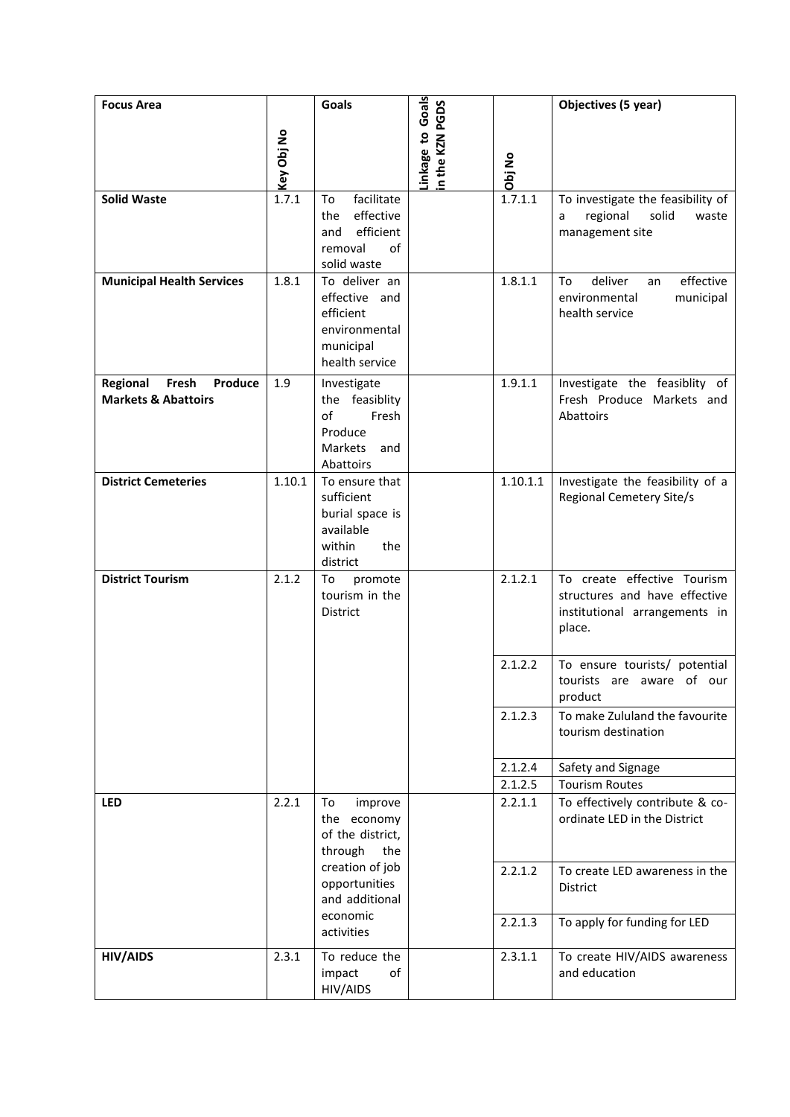| <b>Focus Area</b>                                              | Key Obj No | <b>Goals</b>                                                                                  | Linkage to Goals<br>n the KZN PGDS | Obj No             | Objectives (5 year)                                                                                     |
|----------------------------------------------------------------|------------|-----------------------------------------------------------------------------------------------|------------------------------------|--------------------|---------------------------------------------------------------------------------------------------------|
| <b>Solid Waste</b>                                             | 1.7.1      | facilitate<br>To<br>effective<br>the<br>efficient<br>and<br>removal<br>of<br>solid waste      |                                    | 1.7.1.1            | To investigate the feasibility of<br>regional<br>solid<br>waste<br>a<br>management site                 |
| <b>Municipal Health Services</b>                               | 1.8.1      | To deliver an<br>effective and<br>efficient<br>environmental<br>municipal<br>health service   |                                    | 1.8.1.1            | deliver<br>effective<br>To<br>an<br>environmental<br>municipal<br>health service                        |
| Regional<br>Fresh<br>Produce<br><b>Markets &amp; Abattoirs</b> | 1.9        | Investigate<br>the feasiblity<br>of<br>Fresh<br>Produce<br><b>Markets</b><br>and<br>Abattoirs |                                    | 1.9.1.1            | Investigate the feasiblity of<br>Fresh Produce Markets and<br>Abattoirs                                 |
| <b>District Cemeteries</b>                                     | 1.10.1     | To ensure that<br>sufficient<br>burial space is<br>available<br>within<br>the<br>district     |                                    | 1.10.1.1           | Investigate the feasibility of a<br><b>Regional Cemetery Site/s</b>                                     |
| <b>District Tourism</b>                                        | 2.1.2      | promote<br>To<br>tourism in the<br>District                                                   |                                    | 2.1.2.1            | To create effective Tourism<br>structures and have effective<br>institutional arrangements in<br>place. |
|                                                                |            |                                                                                               |                                    | 2.1.2.2            | To ensure tourists/ potential<br>tourists are aware of our<br>product                                   |
|                                                                |            |                                                                                               |                                    | 2.1.2.3            | To make Zululand the favourite<br>tourism destination                                                   |
|                                                                |            |                                                                                               |                                    | 2.1.2.4            | Safety and Signage                                                                                      |
| LED                                                            | 2.2.1      | To                                                                                            |                                    | 2.1.2.5<br>2.2.1.1 | <b>Tourism Routes</b>                                                                                   |
|                                                                |            | improve<br>the economy<br>of the district,<br>through<br>the                                  |                                    |                    | To effectively contribute & co-<br>ordinate LED in the District                                         |
|                                                                |            | creation of job<br>opportunities<br>and additional<br>economic                                |                                    | 2.2.1.2            | To create LED awareness in the<br><b>District</b>                                                       |
|                                                                |            | activities                                                                                    |                                    | 2.2.1.3            | To apply for funding for LED                                                                            |
| <b>HIV/AIDS</b>                                                | 2.3.1      | To reduce the<br>impact<br>of<br>HIV/AIDS                                                     |                                    | 2.3.1.1            | To create HIV/AIDS awareness<br>and education                                                           |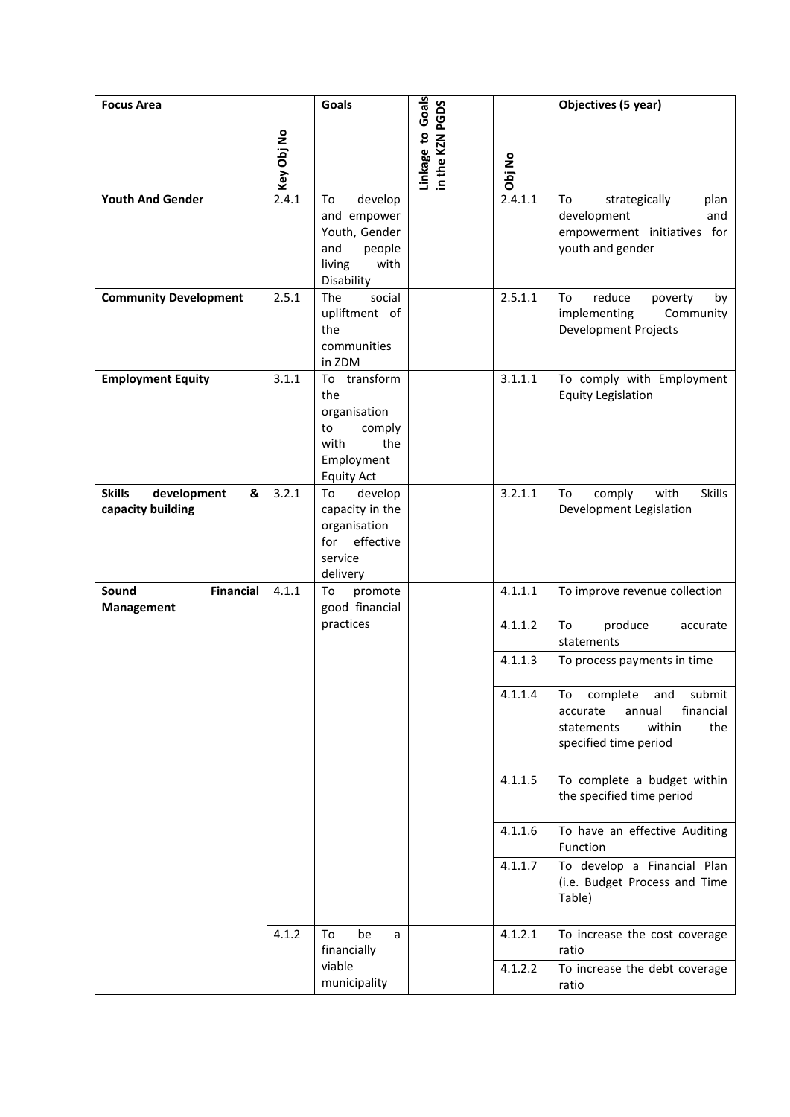| <b>Focus Area</b>                                      | Key Obj No | Goals                                                                                                 | Linkage to Goals<br>n the KZN PGDS | Obj No  | Objectives (5 year)                                                                                                        |
|--------------------------------------------------------|------------|-------------------------------------------------------------------------------------------------------|------------------------------------|---------|----------------------------------------------------------------------------------------------------------------------------|
| <b>Youth And Gender</b>                                | 2.4.1      | develop<br>To<br>and empower<br>Youth, Gender<br>and<br>people<br>with<br>living<br>Disability        |                                    | 2.4.1.1 | strategically<br>To<br>plan<br>development<br>and<br>empowerment initiatives for<br>youth and gender                       |
| <b>Community Development</b>                           | 2.5.1      | The<br>social<br>upliftment of<br>the<br>communities<br>in ZDM                                        |                                    | 2.5.1.1 | To<br>reduce<br>poverty<br>by<br>implementing<br>Community<br><b>Development Projects</b>                                  |
| <b>Employment Equity</b>                               | 3.1.1      | To transform<br>the<br>organisation<br>to<br>comply<br>the<br>with<br>Employment<br><b>Equity Act</b> |                                    | 3.1.1.1 | To comply with Employment<br><b>Equity Legislation</b>                                                                     |
| <b>Skills</b><br>development<br>&<br>capacity building | 3.2.1      | develop<br>To<br>capacity in the<br>organisation<br>effective<br>for<br>service<br>delivery           |                                    | 3.2.1.1 | comply<br>with<br><b>Skills</b><br>To<br>Development Legislation                                                           |
| <b>Financial</b><br>Sound<br>Management                | 4.1.1      | To<br>promote<br>good financial                                                                       |                                    | 4.1.1.1 | To improve revenue collection                                                                                              |
|                                                        |            | practices                                                                                             |                                    | 4.1.1.2 | To<br>produce<br>accurate<br>statements                                                                                    |
|                                                        |            |                                                                                                       |                                    | 4.1.1.3 | To process payments in time                                                                                                |
|                                                        |            |                                                                                                       |                                    | 4.1.1.4 | complete<br>submit<br>and<br>To<br>accurate<br>annual<br>financial<br>within<br>statements<br>the<br>specified time period |
|                                                        |            |                                                                                                       |                                    | 4.1.1.5 | To complete a budget within<br>the specified time period                                                                   |
|                                                        |            |                                                                                                       |                                    | 4.1.1.6 | To have an effective Auditing<br>Function                                                                                  |
|                                                        |            |                                                                                                       |                                    | 4.1.1.7 | To develop a Financial Plan<br>(i.e. Budget Process and Time<br>Table)                                                     |
|                                                        | 4.1.2      | be<br>To<br>a<br>financially                                                                          |                                    | 4.1.2.1 | To increase the cost coverage<br>ratio                                                                                     |
|                                                        |            | viable<br>municipality                                                                                |                                    | 4.1.2.2 | To increase the debt coverage<br>ratio                                                                                     |